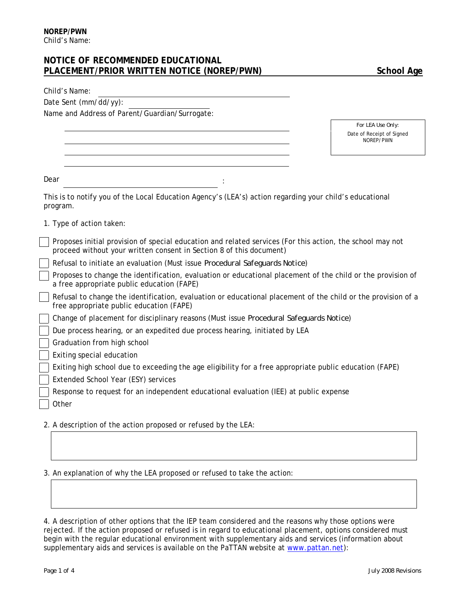# **NOTICE OF RECOMMENDED EDUCATIONAL**  PLACEMENT/PRIOR WRITTEN NOTICE (NOREP/PWN) School Age

| Child's Name:                                                                                                                                                                    |                                        |
|----------------------------------------------------------------------------------------------------------------------------------------------------------------------------------|----------------------------------------|
| Date Sent (mm/dd/yy):                                                                                                                                                            |                                        |
| Name and Address of Parent/Guardian/Surrogate:                                                                                                                                   |                                        |
|                                                                                                                                                                                  | For LEA Use Only:                      |
|                                                                                                                                                                                  | Date of Receipt of Signed<br>NOREP/PWN |
|                                                                                                                                                                                  |                                        |
|                                                                                                                                                                                  |                                        |
| Dear                                                                                                                                                                             |                                        |
| This is to notify you of the Local Education Agency's (LEA's) action regarding your child's educational<br>program.                                                              |                                        |
| 1. Type of action taken:                                                                                                                                                         |                                        |
| Proposes initial provision of special education and related services (For this action, the school may not<br>proceed without your written consent in Section 8 of this document) |                                        |
| Refusal to initiate an evaluation (Must issue Procedural Safeguards Notice)                                                                                                      |                                        |
| Proposes to change the identification, evaluation or educational placement of the child or the provision of<br>a free appropriate public education (FAPE)                        |                                        |
| Refusal to change the identification, evaluation or educational placement of the child or the provision of a<br>free appropriate public education (FAPE)                         |                                        |
| Change of placement for disciplinary reasons (Must issue Procedural Safeguards Notice)                                                                                           |                                        |
| Due process hearing, or an expedited due process hearing, initiated by LEA                                                                                                       |                                        |
| Graduation from high school                                                                                                                                                      |                                        |
| Exiting special education                                                                                                                                                        |                                        |
| Exiting high school due to exceeding the age eligibility for a free appropriate public education (FAPE)                                                                          |                                        |
| Extended School Year (ESY) services                                                                                                                                              |                                        |
| Response to request for an independent educational evaluation (IEE) at public expense                                                                                            |                                        |
| Other                                                                                                                                                                            |                                        |
| 2. A description of the action proposed or refused by the LEA:                                                                                                                   |                                        |

3. An explanation of why the LEA proposed or refused to take the action:

4. A description of other options that the IEP team considered and the reasons why those options were rejected. If the action proposed or refused is in regard to educational placement, options considered must begin with the regular educational environment with supplementary aids and services (information about supplementary aids and services is available on the PaTTAN website at [www.pattan.net](http://www.pattan.net/)):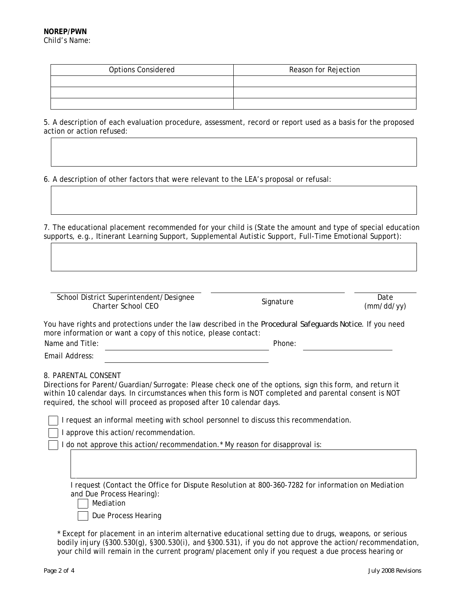| <b>Options Considered</b> | Reason for Rejection |
|---------------------------|----------------------|
|                           |                      |
|                           |                      |
|                           |                      |

5. A description of each evaluation procedure, assessment, record or report used as a basis for the proposed action or action refused:

6. A description of other factors that were relevant to the LEA's proposal or refusal:

7. The educational placement recommended for your child is (State the amount and type of special education supports, e.g., Itinerant Learning Support, Supplemental Autistic Support, Full-Time Emotional Support):

School District Superintendent/Designee Charter School CEO Signature Date

(mm/dd/yy)

You have rights and protections under the law described in the *Procedural Safeguards Notice*. If you need more information or want a copy of this notice, please contact:

Name and Title:  $\blacksquare$ 

Email Address:

8. PARENTAL CONSENT

Directions for Parent/Guardian/Surrogate: Please check one of the options, sign this form, and return it within 10 calendar days. In circumstances when this form is NOT completed and parental consent is NOT required, the school will proceed as proposed after 10 calendar days.

I request an informal meeting with school personnel to discuss this recommendation.

I approve this action/recommendation.

I do not approve this action/recommendation.\* My reason for disapproval is:

I request (Contact the Office for Dispute Resolution at 800-360-7282 for information on Mediation and Due Process Hearing):

Mediation

Due Process Hearing

 \* Except for placement in an interim alternative educational setting due to drugs, weapons, or serious bodily injury (§300.530(g), §300.530(i), and §300.531), if you do not approve the action/recommendation, your child will remain in the current program/placement only if you request a due process hearing or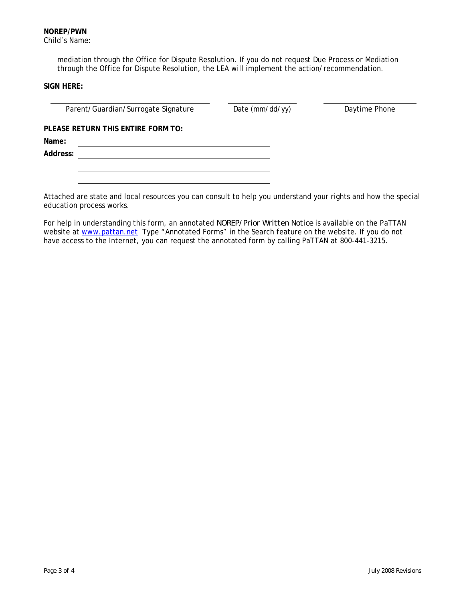mediation through the Office for Dispute Resolution. If you do not request Due Process or Mediation through the Office for Dispute Resolution, the LEA will implement the action/recommendation.

### **SIGN HERE:**

Parent/Guardian/Surrogate Signature Date (mm/dd/yy) Daytime Phone

**PLEASE RETURN THIS ENTIRE FORM TO:** 

**Name:** 

**Address:** 

Attached are state and local resources you can consult to help you understand your rights and how the special education process works.

For help in understanding this form, an annotated *NOREP/Prior Written Notice* is available on the PaTTAN website at [www.pattan.net](http://www.pattan.net/) Type "Annotated Forms" in the Search feature on the website. If you do not have access to the Internet, you can request the annotated form by calling PaTTAN at 800-441-3215.